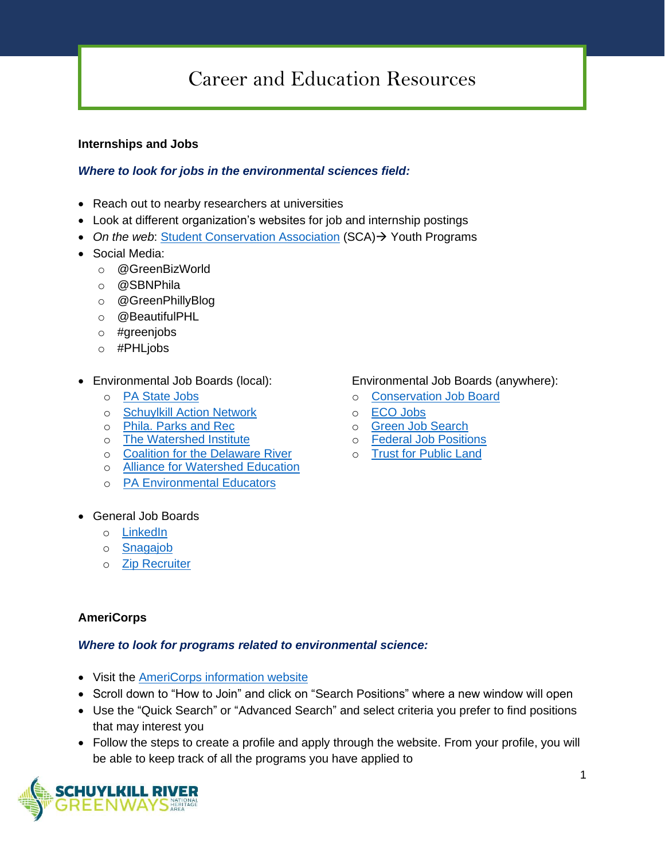# Career and Education Resources

## **Internships and Jobs**

## *Where to look for jobs in the environmental sciences field:*

- Reach out to nearby researchers at universities
- Look at different organization's websites for job and internship postings
- *On the web*: [Student Conservation Association](https://www.thesca.org/) (SCA)→ Youth Programs
- Social Media:
	- o @GreenBizWorld
	- o @SBNPhila
	- o @GreenPhillyBlog
	- o @BeautifulPHL
	- o #greenjobs
	- o #PHLjobs
- -
	- o S[chuylkill Action Network](https://www.schuylkillwaters.org/resources/jobs-board) o [ECO Jobs](http://www.ecojobs.com/)
	- o [Phila. Parks and Rec](https://www.phila.gov/documents/philadelphia-parks-recreation-job-opportunities/) o [Green Job Search](http://greenjobsearch.org/)
	- o [The Watershed Institute](https://thewatershed.org/employment/)
	- o [Coalition for the Delaware River](http://www.delriverwatershed.org/jobs)
	- o [Alliance for Watershed Education](https://www.watershedalliance.org/education/employment/)
	- o [PA Environmental](http://www.paee.net/ee-job-postings.html) Educators
- General Job Boards
	- o [LinkedIn](https://www.linkedin.com/)
	- o [Snagajob](https://www.snagajob.com/)
	- o [Zip Recruiter](https://www.ziprecruiter.com/)

## **AmeriCorps**

#### *Where to look for programs related to environmental science:*

- Visit the [AmeriCorps information website](https://nationalservice.gov/programs/americorps/join-americorps)
- Scroll down to "How to Join" and click on "Search Positions" where a new window will open
- Use the "Quick Search" or "Advanced Search" and select criteria you prefer to find positions that may interest you
- Follow the steps to create a profile and apply through the website. From your profile, you will be able to keep track of all the programs you have applied to



#### • Environmental Job Boards (local): Environmental Job Boards (anywhere):

- o [PA State Jobs](https://www.employment.pa.gov/Pages/default.aspx) o [Conservation Job Board](https://www.conservationjobboard.com/)
	-
	-
	- o F[ederal Job Positions](https://www.usajobs.gov/)
	- o [Trust for Public Land](https://www.tpl.org/about/jobs)